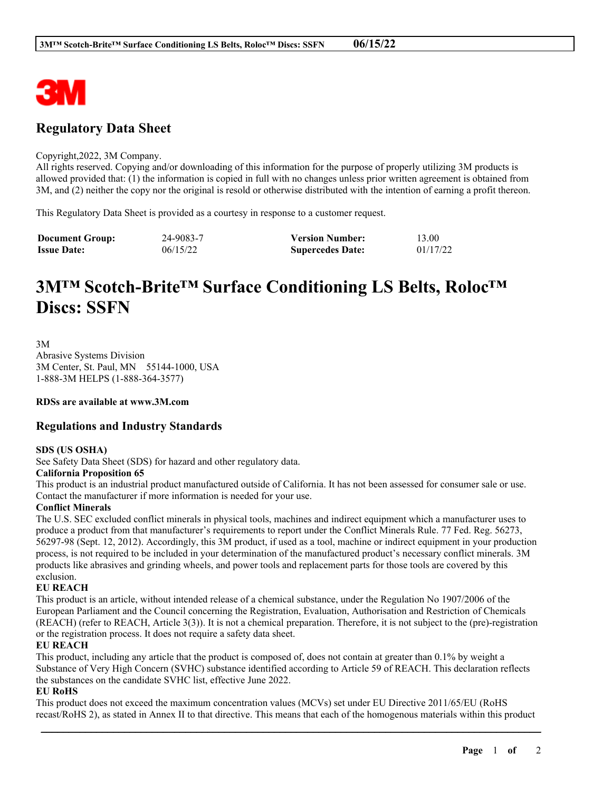

# **Regulatory Data Sheet**

#### Copyright,2022, 3M Company.

All rights reserved. Copying and/or downloading of this information for the purpose of properly utilizing 3M products is allowed provided that: (1) the information is copied in full with no changes unless prior written agreement is obtained from 3M, and (2) neither the copy nor the original is resold or otherwise distributed with the intention of earning a profit thereon.

This Regulatory Data Sheet is provided as a courtesy in response to a customer request.

| <b>Document Group:</b> | 24-9083-7 | <b>Version Number:</b>  | 13.00    |
|------------------------|-----------|-------------------------|----------|
| <b>Issue Date:</b>     | 06/15/22  | <b>Supercedes Date:</b> | 01/17/22 |

# **3M™ Scotch-Brite™ Surface Conditioning LS Belts, Roloc™ Discs: SSFN**

3M Abrasive Systems Division 3M Center, St. Paul, MN 55144-1000, USA 1-888-3M HELPS (1-888-364-3577)

**RDSs are available at www.3M.com**

# **Regulations and Industry Standards**

# **SDS (US OSHA)**

See Safety Data Sheet (SDS) for hazard and other regulatory data.

# **California Proposition 65**

This product is an industrial product manufactured outside of California. It has not been assessed for consumer sale or use. Contact the manufacturer if more information is needed for your use.

# **Conflict Minerals**

The U.S. SEC excluded conflict minerals in physical tools, machines and indirect equipment which a manufacturer uses to produce a product from that manufacturer's requirements to report under the Conflict Minerals Rule. 77 Fed. Reg. 56273, 56297-98 (Sept. 12, 2012). Accordingly, this 3M product, if used as a tool, machine or indirect equipment in your production process, is not required to be included in your determination of the manufactured product's necessary conflict minerals. 3M products like abrasives and grinding wheels, and power tools and replacement parts for those tools are covered by this exclusion.

# **EU REACH**

This product is an article, without intended release of a chemical substance, under the Regulation No 1907/2006 of the European Parliament and the Council concerning the Registration, Evaluation, Authorisation and Restriction of Chemicals (REACH) (refer to REACH, Article 3(3)). It is not a chemical preparation. Therefore, it is not subject to the (pre)-registration or the registration process. It does not require a safety data sheet.

# **EU REACH**

This product, including any article that the product is composed of, does not contain at greater than 0.1% by weight a Substance of Very High Concern (SVHC) substance identified according to Article 59 of REACH. This declaration reflects the substances on the candidate SVHC list, effective June 2022.

# **EU RoHS**

This product does not exceed the maximum concentration values (MCVs) set under EU Directive 2011/65/EU (RoHS recast/RoHS 2), as stated in Annex II to that directive. This means that each of the homogenous materials within this product

\_\_\_\_\_\_\_\_\_\_\_\_\_\_\_\_\_\_\_\_\_\_\_\_\_\_\_\_\_\_\_\_\_\_\_\_\_\_\_\_\_\_\_\_\_\_\_\_\_\_\_\_\_\_\_\_\_\_\_\_\_\_\_\_\_\_\_\_\_\_\_\_\_\_\_\_\_\_\_\_\_\_\_\_\_\_\_\_\_\_